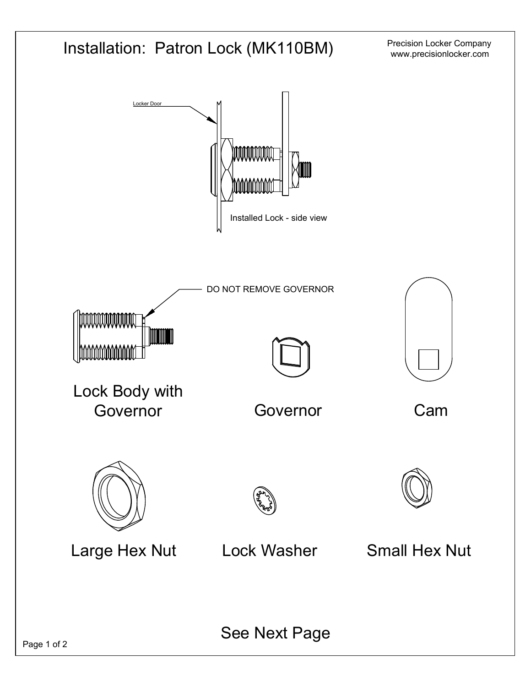